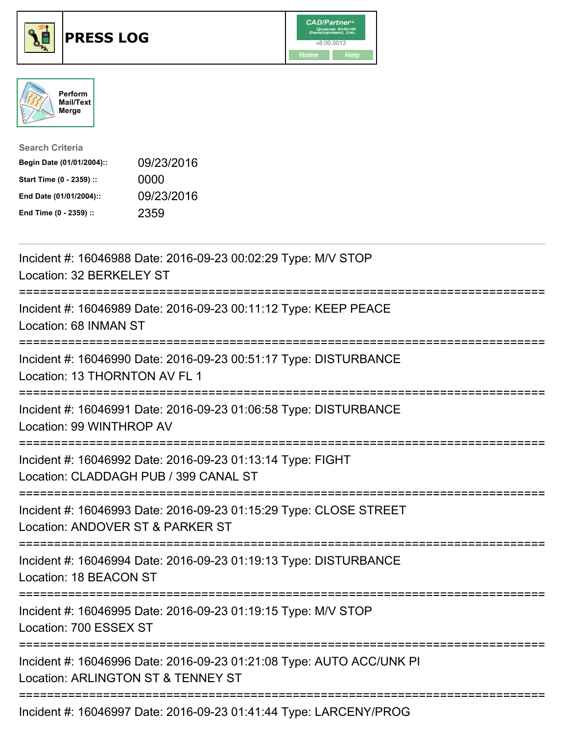





| <b>Search Criteria</b>    |            |
|---------------------------|------------|
| Begin Date (01/01/2004):: | 09/23/2016 |
| Start Time (0 - 2359) ::  | 0000       |
| End Date (01/01/2004)::   | 09/23/2016 |
| End Time (0 - 2359) ::    | 2359       |

| Incident #: 16046988 Date: 2016-09-23 00:02:29 Type: M/V STOP<br>Location: 32 BERKELEY ST                                             |
|---------------------------------------------------------------------------------------------------------------------------------------|
| Incident #: 16046989 Date: 2016-09-23 00:11:12 Type: KEEP PEACE<br>Location: 68 INMAN ST                                              |
| Incident #: 16046990 Date: 2016-09-23 00:51:17 Type: DISTURBANCE<br>Location: 13 THORNTON AV FL 1                                     |
| Incident #: 16046991 Date: 2016-09-23 01:06:58 Type: DISTURBANCE<br>Location: 99 WINTHROP AV                                          |
| Incident #: 16046992 Date: 2016-09-23 01:13:14 Type: FIGHT<br>Location: CLADDAGH PUB / 399 CANAL ST<br>-------------------------      |
| Incident #: 16046993 Date: 2016-09-23 01:15:29 Type: CLOSE STREET<br>Location: ANDOVER ST & PARKER ST<br>;=========================== |
| Incident #: 16046994 Date: 2016-09-23 01:19:13 Type: DISTURBANCE<br>Location: 18 BEACON ST                                            |
| Incident #: 16046995 Date: 2016-09-23 01:19:15 Type: M/V STOP<br>Location: 700 ESSEX ST                                               |
| Incident #: 16046996 Date: 2016-09-23 01:21:08 Type: AUTO ACC/UNK PI<br>Location: ARLINGTON ST & TENNEY ST                            |
| Incident #: 16046997 Date: 2016-09-23 01:41:44 Type: LARCENY/PROG                                                                     |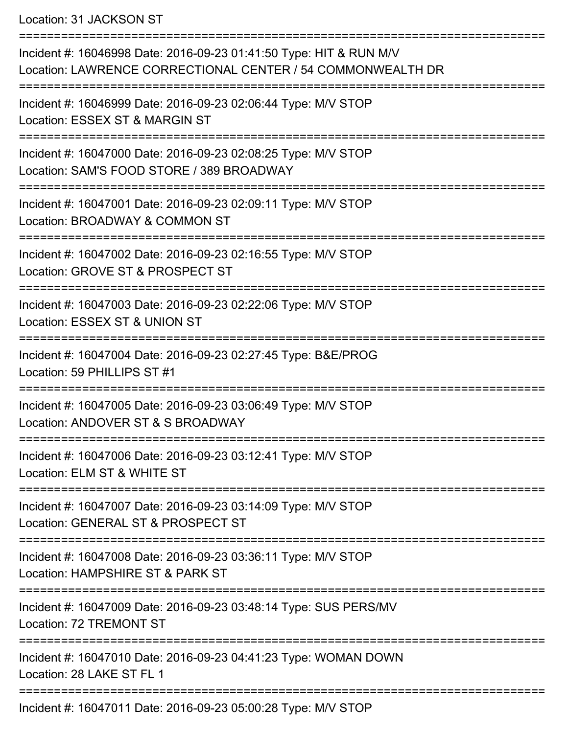Location: 31 JACKSON ST

| Incident #: 16046998 Date: 2016-09-23 01:41:50 Type: HIT & RUN M/V<br>Location: LAWRENCE CORRECTIONAL CENTER / 54 COMMONWEALTH DR |
|-----------------------------------------------------------------------------------------------------------------------------------|
| Incident #: 16046999 Date: 2016-09-23 02:06:44 Type: M/V STOP<br>Location: ESSEX ST & MARGIN ST                                   |
| Incident #: 16047000 Date: 2016-09-23 02:08:25 Type: M/V STOP<br>Location: SAM'S FOOD STORE / 389 BROADWAY                        |
| Incident #: 16047001 Date: 2016-09-23 02:09:11 Type: M/V STOP<br>Location: BROADWAY & COMMON ST                                   |
| Incident #: 16047002 Date: 2016-09-23 02:16:55 Type: M/V STOP<br>Location: GROVE ST & PROSPECT ST                                 |
| Incident #: 16047003 Date: 2016-09-23 02:22:06 Type: M/V STOP<br>Location: ESSEX ST & UNION ST                                    |
| Incident #: 16047004 Date: 2016-09-23 02:27:45 Type: B&E/PROG<br>Location: 59 PHILLIPS ST #1                                      |
| Incident #: 16047005 Date: 2016-09-23 03:06:49 Type: M/V STOP<br>Location: ANDOVER ST & S BROADWAY                                |
| Incident #: 16047006 Date: 2016-09-23 03:12:41 Type: M/V STOP<br>Location: ELM ST & WHITE ST                                      |
| Incident #: 16047007 Date: 2016-09-23 03:14:09 Type: M/V STOP<br>Location: GENERAL ST & PROSPECT ST                               |
| Incident #: 16047008 Date: 2016-09-23 03:36:11 Type: M/V STOP<br>Location: HAMPSHIRE ST & PARK ST                                 |
| Incident #: 16047009 Date: 2016-09-23 03:48:14 Type: SUS PERS/MV<br>Location: 72 TREMONT ST                                       |
| Incident #: 16047010 Date: 2016-09-23 04:41:23 Type: WOMAN DOWN<br>Location: 28 LAKE ST FL 1                                      |
| Incident #: 16047011 Date: 2016-09-23 05:00:28 Type: M/V STOP                                                                     |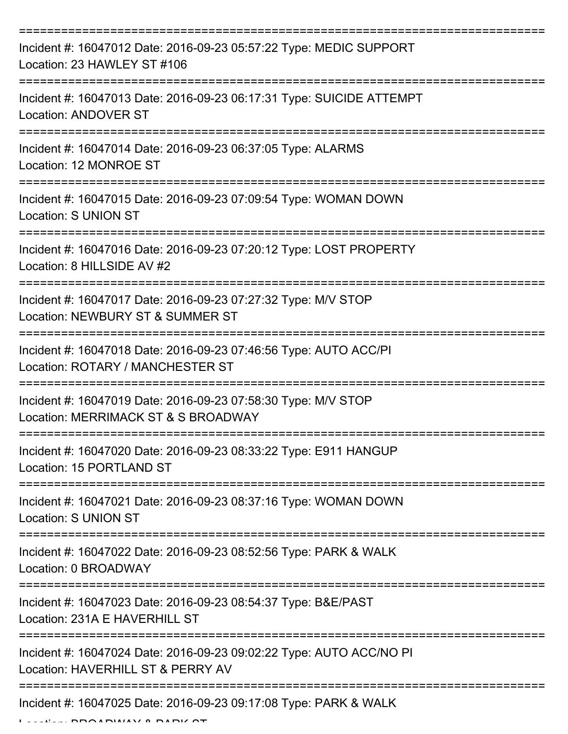| Incident #: 16047012 Date: 2016-09-23 05:57:22 Type: MEDIC SUPPORT<br>Location: 23 HAWLEY ST #106        |
|----------------------------------------------------------------------------------------------------------|
| Incident #: 16047013 Date: 2016-09-23 06:17:31 Type: SUICIDE ATTEMPT<br>Location: ANDOVER ST             |
| Incident #: 16047014 Date: 2016-09-23 06:37:05 Type: ALARMS<br>Location: 12 MONROE ST                    |
| Incident #: 16047015 Date: 2016-09-23 07:09:54 Type: WOMAN DOWN<br>Location: S UNION ST                  |
| Incident #: 16047016 Date: 2016-09-23 07:20:12 Type: LOST PROPERTY<br>Location: 8 HILLSIDE AV #2         |
| Incident #: 16047017 Date: 2016-09-23 07:27:32 Type: M/V STOP<br>Location: NEWBURY ST & SUMMER ST        |
| Incident #: 16047018 Date: 2016-09-23 07:46:56 Type: AUTO ACC/PI<br>Location: ROTARY / MANCHESTER ST     |
| Incident #: 16047019 Date: 2016-09-23 07:58:30 Type: M/V STOP<br>Location: MERRIMACK ST & S BROADWAY     |
| Incident #: 16047020 Date: 2016-09-23 08:33:22 Type: E911 HANGUP<br>Location: 15 PORTLAND ST             |
| Incident #: 16047021 Date: 2016-09-23 08:37:16 Type: WOMAN DOWN<br><b>Location: S UNION ST</b>           |
| Incident #: 16047022 Date: 2016-09-23 08:52:56 Type: PARK & WALK<br>Location: 0 BROADWAY                 |
| Incident #: 16047023 Date: 2016-09-23 08:54:37 Type: B&E/PAST<br>Location: 231A E HAVERHILL ST           |
| Incident #: 16047024 Date: 2016-09-23 09:02:22 Type: AUTO ACC/NO PI<br>Location: HAVERHILL ST & PERRY AV |
| Incident #: 16047025 Date: 2016-09-23 09:17:08 Type: PARK & WALK                                         |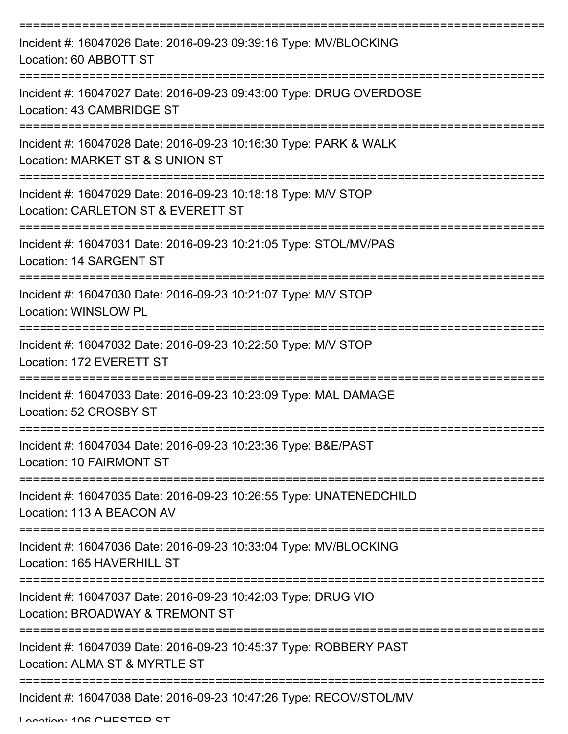| Incident #: 16047026 Date: 2016-09-23 09:39:16 Type: MV/BLOCKING<br>Location: 60 ABBOTT ST                                                   |
|----------------------------------------------------------------------------------------------------------------------------------------------|
| Incident #: 16047027 Date: 2016-09-23 09:43:00 Type: DRUG OVERDOSE<br>Location: 43 CAMBRIDGE ST                                              |
| Incident #: 16047028 Date: 2016-09-23 10:16:30 Type: PARK & WALK<br>Location: MARKET ST & S UNION ST                                         |
| Incident #: 16047029 Date: 2016-09-23 10:18:18 Type: M/V STOP<br>Location: CARLETON ST & EVERETT ST                                          |
| Incident #: 16047031 Date: 2016-09-23 10:21:05 Type: STOL/MV/PAS<br>Location: 14 SARGENT ST                                                  |
| Incident #: 16047030 Date: 2016-09-23 10:21:07 Type: M/V STOP<br>Location: WINSLOW PL                                                        |
| Incident #: 16047032 Date: 2016-09-23 10:22:50 Type: M/V STOP<br>Location: 172 EVERETT ST                                                    |
| Incident #: 16047033 Date: 2016-09-23 10:23:09 Type: MAL DAMAGE<br>Location: 52 CROSBY ST                                                    |
| Incident #: 16047034 Date: 2016-09-23 10:23:36 Type: B&E/PAST<br>Location: 10 FAIRMONT ST                                                    |
| Incident #: 16047035 Date: 2016-09-23 10:26:55 Type: UNATENEDCHILD<br>Location: 113 A BEACON AV                                              |
| Incident #: 16047036 Date: 2016-09-23 10:33:04 Type: MV/BLOCKING<br>Location: 165 HAVERHILL ST                                               |
| Incident #: 16047037 Date: 2016-09-23 10:42:03 Type: DRUG VIO<br>Location: BROADWAY & TREMONT ST                                             |
| Incident #: 16047039 Date: 2016-09-23 10:45:37 Type: ROBBERY PAST<br>Location: ALMA ST & MYRTLE ST<br>-------------------------------------- |
| Incident #: 16047038 Date: 2016-09-23 10:47:26 Type: RECOV/STOL/MV                                                                           |

Location: 106 CHESTED ST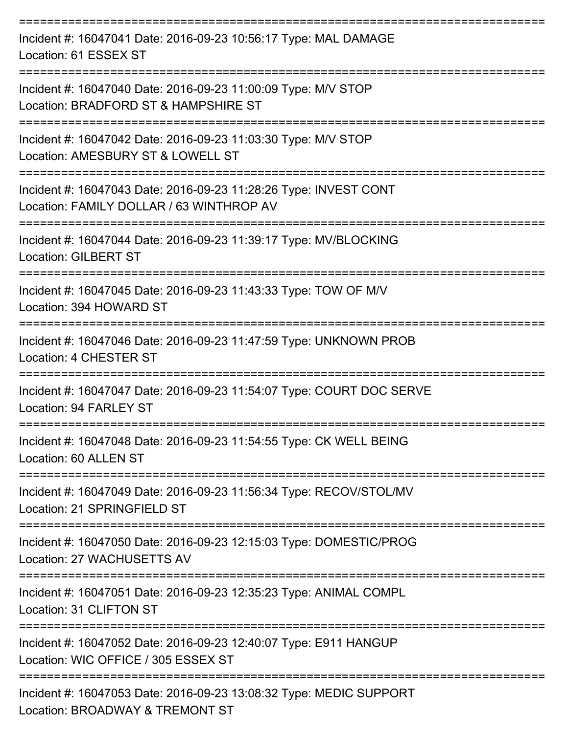| Incident #: 16047041 Date: 2016-09-23 10:56:17 Type: MAL DAMAGE<br>Location: 61 ESSEX ST                     |
|--------------------------------------------------------------------------------------------------------------|
| Incident #: 16047040 Date: 2016-09-23 11:00:09 Type: M/V STOP<br>Location: BRADFORD ST & HAMPSHIRE ST        |
| Incident #: 16047042 Date: 2016-09-23 11:03:30 Type: M/V STOP<br>Location: AMESBURY ST & LOWELL ST           |
| Incident #: 16047043 Date: 2016-09-23 11:28:26 Type: INVEST CONT<br>Location: FAMILY DOLLAR / 63 WINTHROP AV |
| Incident #: 16047044 Date: 2016-09-23 11:39:17 Type: MV/BLOCKING<br><b>Location: GILBERT ST</b>              |
| Incident #: 16047045 Date: 2016-09-23 11:43:33 Type: TOW OF M/V<br>Location: 394 HOWARD ST                   |
| Incident #: 16047046 Date: 2016-09-23 11:47:59 Type: UNKNOWN PROB<br>Location: 4 CHESTER ST                  |
| Incident #: 16047047 Date: 2016-09-23 11:54:07 Type: COURT DOC SERVE<br>Location: 94 FARLEY ST               |
| Incident #: 16047048 Date: 2016-09-23 11:54:55 Type: CK WELL BEING<br>Location: 60 ALLEN ST                  |
| Incident #: 16047049 Date: 2016-09-23 11:56:34 Type: RECOV/STOL/MV<br>Location: 21 SPRINGFIELD ST            |
| Incident #: 16047050 Date: 2016-09-23 12:15:03 Type: DOMESTIC/PROG<br>Location: 27 WACHUSETTS AV             |
| Incident #: 16047051 Date: 2016-09-23 12:35:23 Type: ANIMAL COMPL<br>Location: 31 CLIFTON ST                 |
| Incident #: 16047052 Date: 2016-09-23 12:40:07 Type: E911 HANGUP<br>Location: WIC OFFICE / 305 ESSEX ST      |
| Incident #: 16047053 Date: 2016-09-23 13:08:32 Type: MEDIC SUPPORT                                           |

Location: BROADWAY & TREMONT ST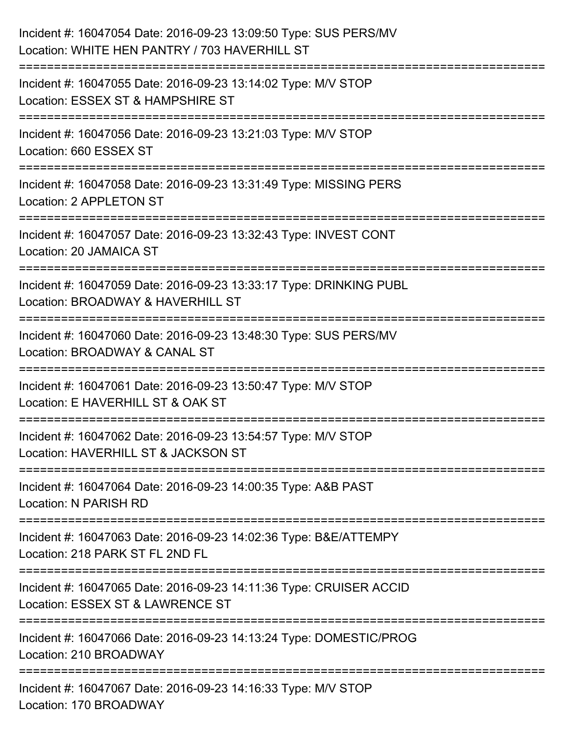| Incident #: 16047054 Date: 2016-09-23 13:09:50 Type: SUS PERS/MV<br>Location: WHITE HEN PANTRY / 703 HAVERHILL ST             |
|-------------------------------------------------------------------------------------------------------------------------------|
| Incident #: 16047055 Date: 2016-09-23 13:14:02 Type: M/V STOP<br>Location: ESSEX ST & HAMPSHIRE ST                            |
| Incident #: 16047056 Date: 2016-09-23 13:21:03 Type: M/V STOP<br>Location: 660 ESSEX ST                                       |
| Incident #: 16047058 Date: 2016-09-23 13:31:49 Type: MISSING PERS<br>Location: 2 APPLETON ST                                  |
| Incident #: 16047057 Date: 2016-09-23 13:32:43 Type: INVEST CONT<br>Location: 20 JAMAICA ST                                   |
| Incident #: 16047059 Date: 2016-09-23 13:33:17 Type: DRINKING PUBL<br>Location: BROADWAY & HAVERHILL ST<br>================== |
| Incident #: 16047060 Date: 2016-09-23 13:48:30 Type: SUS PERS/MV<br>Location: BROADWAY & CANAL ST                             |
| Incident #: 16047061 Date: 2016-09-23 13:50:47 Type: M/V STOP<br>Location: E HAVERHILL ST & OAK ST                            |
| Incident #: 16047062 Date: 2016-09-23 13:54:57 Type: M/V STOP<br>Location: HAVERHILL ST & JACKSON ST                          |
| Incident #: 16047064 Date: 2016-09-23 14:00:35 Type: A&B PAST<br>Location: N PARISH RD                                        |
| Incident #: 16047063 Date: 2016-09-23 14:02:36 Type: B&E/ATTEMPY<br>Location: 218 PARK ST FL 2ND FL                           |
| Incident #: 16047065 Date: 2016-09-23 14:11:36 Type: CRUISER ACCID<br>Location: ESSEX ST & LAWRENCE ST                        |
| Incident #: 16047066 Date: 2016-09-23 14:13:24 Type: DOMESTIC/PROG<br>Location: 210 BROADWAY                                  |
| Incident #: 16047067 Date: 2016-09-23 14:16:33 Type: M/V STOP<br>Location: 170 BROADWAY                                       |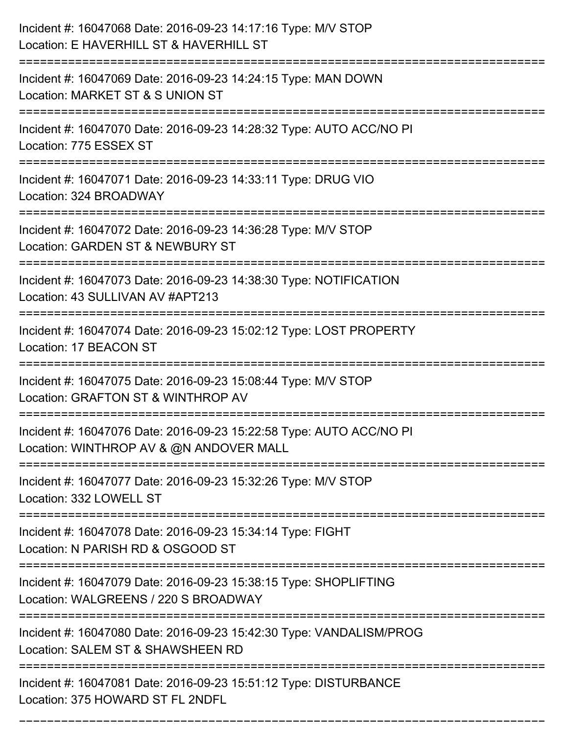| Incident #: 16047068 Date: 2016-09-23 14:17:16 Type: M/V STOP<br>Location: E HAVERHILL ST & HAVERHILL ST                     |
|------------------------------------------------------------------------------------------------------------------------------|
| Incident #: 16047069 Date: 2016-09-23 14:24:15 Type: MAN DOWN<br>Location: MARKET ST & S UNION ST                            |
| Incident #: 16047070 Date: 2016-09-23 14:28:32 Type: AUTO ACC/NO PI<br>Location: 775 ESSEX ST                                |
| Incident #: 16047071 Date: 2016-09-23 14:33:11 Type: DRUG VIO<br>Location: 324 BROADWAY                                      |
| Incident #: 16047072 Date: 2016-09-23 14:36:28 Type: M/V STOP<br>Location: GARDEN ST & NEWBURY ST                            |
| Incident #: 16047073 Date: 2016-09-23 14:38:30 Type: NOTIFICATION<br>Location: 43 SULLIVAN AV #APT213                        |
| Incident #: 16047074 Date: 2016-09-23 15:02:12 Type: LOST PROPERTY<br>Location: 17 BEACON ST                                 |
| Incident #: 16047075 Date: 2016-09-23 15:08:44 Type: M/V STOP<br>Location: GRAFTON ST & WINTHROP AV                          |
| Incident #: 16047076 Date: 2016-09-23 15:22:58 Type: AUTO ACC/NO PI<br>Location: WINTHROP AV & @N ANDOVER MALL               |
| Incident #: 16047077 Date: 2016-09-23 15:32:26 Type: M/V STOP<br>Location: 332 LOWELL ST<br>================================ |
| Incident #: 16047078 Date: 2016-09-23 15:34:14 Type: FIGHT<br>Location: N PARISH RD & OSGOOD ST                              |
| Incident #: 16047079 Date: 2016-09-23 15:38:15 Type: SHOPLIFTING<br>Location: WALGREENS / 220 S BROADWAY                     |
| Incident #: 16047080 Date: 2016-09-23 15:42:30 Type: VANDALISM/PROG<br>Location: SALEM ST & SHAWSHEEN RD                     |
| Incident #: 16047081 Date: 2016-09-23 15:51:12 Type: DISTURBANCE<br>Location: 375 HOWARD ST FL 2NDFL                         |

===========================================================================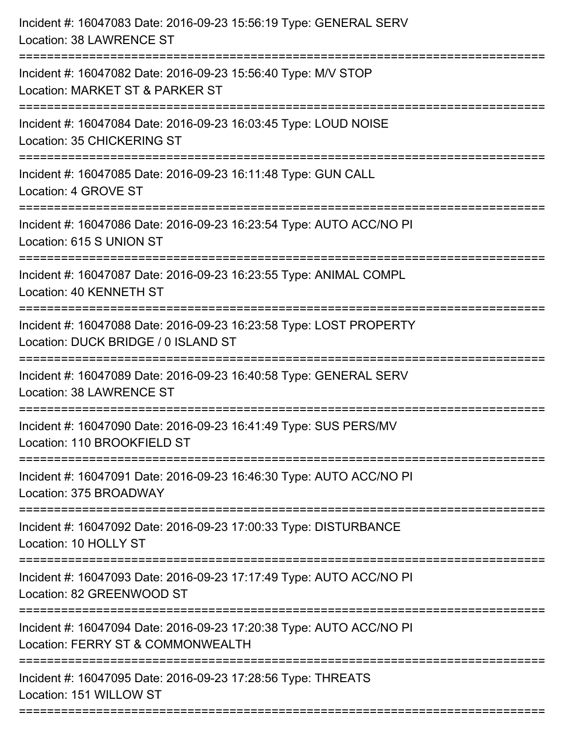| Incident #: 16047083 Date: 2016-09-23 15:56:19 Type: GENERAL SERV<br>Location: 38 LAWRENCE ST                                                         |
|-------------------------------------------------------------------------------------------------------------------------------------------------------|
| Incident #: 16047082 Date: 2016-09-23 15:56:40 Type: M/V STOP<br>Location: MARKET ST & PARKER ST                                                      |
| Incident #: 16047084 Date: 2016-09-23 16:03:45 Type: LOUD NOISE<br>Location: 35 CHICKERING ST<br>:=============================                       |
| Incident #: 16047085 Date: 2016-09-23 16:11:48 Type: GUN CALL<br>Location: 4 GROVE ST                                                                 |
| Incident #: 16047086 Date: 2016-09-23 16:23:54 Type: AUTO ACC/NO PI<br>Location: 615 S UNION ST                                                       |
| Incident #: 16047087 Date: 2016-09-23 16:23:55 Type: ANIMAL COMPL<br>Location: 40 KENNETH ST                                                          |
| Incident #: 16047088 Date: 2016-09-23 16:23:58 Type: LOST PROPERTY<br>Location: DUCK BRIDGE / 0 ISLAND ST<br>==================<br>================== |
| Incident #: 16047089 Date: 2016-09-23 16:40:58 Type: GENERAL SERV<br>Location: 38 LAWRENCE ST                                                         |
| Incident #: 16047090 Date: 2016-09-23 16:41:49 Type: SUS PERS/MV<br>Location: 110 BROOKFIELD ST                                                       |
| Incident #: 16047091 Date: 2016-09-23 16:46:30 Type: AUTO ACC/NO PI<br>Location: 375 BROADWAY                                                         |
| Incident #: 16047092 Date: 2016-09-23 17:00:33 Type: DISTURBANCE<br>Location: 10 HOLLY ST                                                             |
| Incident #: 16047093 Date: 2016-09-23 17:17:49 Type: AUTO ACC/NO PI<br>Location: 82 GREENWOOD ST                                                      |
| Incident #: 16047094 Date: 2016-09-23 17:20:38 Type: AUTO ACC/NO PI<br>Location: FERRY ST & COMMONWEALTH                                              |
| Incident #: 16047095 Date: 2016-09-23 17:28:56 Type: THREATS<br>Location: 151 WILLOW ST                                                               |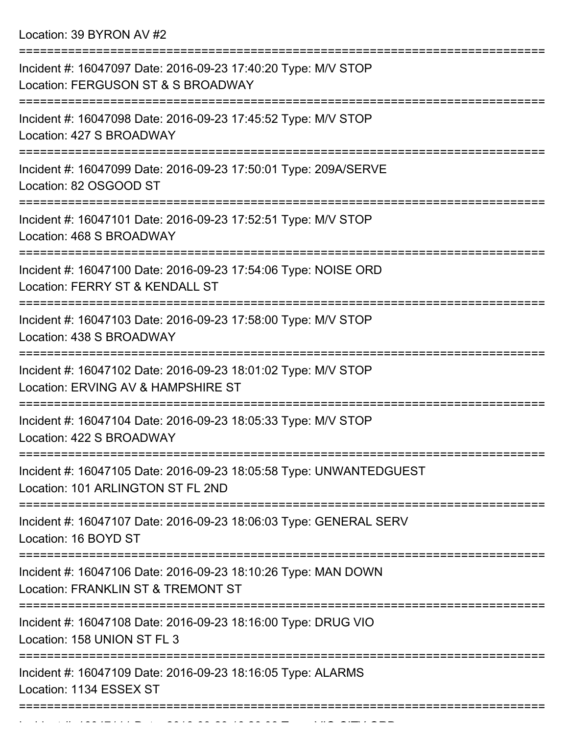Location: 39 BYRON AV #2

| Incident #: 16047097 Date: 2016-09-23 17:40:20 Type: M/V STOP<br>Location: FERGUSON ST & S BROADWAY                               |
|-----------------------------------------------------------------------------------------------------------------------------------|
| Incident #: 16047098 Date: 2016-09-23 17:45:52 Type: M/V STOP<br>Location: 427 S BROADWAY<br>==================================== |
| Incident #: 16047099 Date: 2016-09-23 17:50:01 Type: 209A/SERVE<br>Location: 82 OSGOOD ST                                         |
| Incident #: 16047101 Date: 2016-09-23 17:52:51 Type: M/V STOP<br>Location: 468 S BROADWAY                                         |
| Incident #: 16047100 Date: 2016-09-23 17:54:06 Type: NOISE ORD<br>Location: FERRY ST & KENDALL ST                                 |
| Incident #: 16047103 Date: 2016-09-23 17:58:00 Type: M/V STOP<br>Location: 438 S BROADWAY                                         |
| Incident #: 16047102 Date: 2016-09-23 18:01:02 Type: M/V STOP<br>Location: ERVING AV & HAMPSHIRE ST                               |
| Incident #: 16047104 Date: 2016-09-23 18:05:33 Type: M/V STOP<br>Location: 422 S BROADWAY                                         |
| Incident #: 16047105 Date: 2016-09-23 18:05:58 Type: UNWANTEDGUEST<br>Location: 101 ARLINGTON ST FL 2ND                           |
| Incident #: 16047107 Date: 2016-09-23 18:06:03 Type: GENERAL SERV<br>Location: 16 BOYD ST                                         |
| Incident #: 16047106 Date: 2016-09-23 18:10:26 Type: MAN DOWN<br>Location: FRANKLIN ST & TREMONT ST                               |
| Incident #: 16047108 Date: 2016-09-23 18:16:00 Type: DRUG VIO<br>Location: 158 UNION ST FL 3                                      |
| Incident #: 16047109 Date: 2016-09-23 18:16:05 Type: ALARMS<br>Location: 1134 ESSEX ST                                            |
|                                                                                                                                   |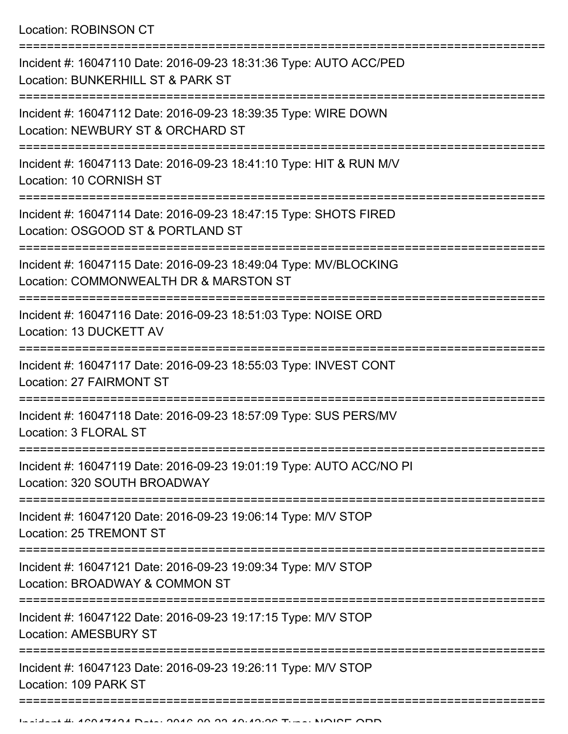Location: ROBINSON CT

| Incident #: 16047110 Date: 2016-09-23 18:31:36 Type: AUTO ACC/PED<br>Location: BUNKERHILL ST & PARK ST     |
|------------------------------------------------------------------------------------------------------------|
| Incident #: 16047112 Date: 2016-09-23 18:39:35 Type: WIRE DOWN<br>Location: NEWBURY ST & ORCHARD ST        |
| Incident #: 16047113 Date: 2016-09-23 18:41:10 Type: HIT & RUN M/V<br>Location: 10 CORNISH ST              |
| Incident #: 16047114 Date: 2016-09-23 18:47:15 Type: SHOTS FIRED<br>Location: OSGOOD ST & PORTLAND ST      |
| Incident #: 16047115 Date: 2016-09-23 18:49:04 Type: MV/BLOCKING<br>Location: COMMONWEALTH DR & MARSTON ST |
| Incident #: 16047116 Date: 2016-09-23 18:51:03 Type: NOISE ORD<br>Location: 13 DUCKETT AV                  |
| Incident #: 16047117 Date: 2016-09-23 18:55:03 Type: INVEST CONT<br>Location: 27 FAIRMONT ST               |
| Incident #: 16047118 Date: 2016-09-23 18:57:09 Type: SUS PERS/MV<br>Location: 3 FLORAL ST                  |
| Incident #: 16047119 Date: 2016-09-23 19:01:19 Type: AUTO ACC/NO PI<br>Location: 320 SOUTH BROADWAY        |
| Incident #: 16047120 Date: 2016-09-23 19:06:14 Type: M/V STOP<br>Location: 25 TREMONT ST                   |
| Incident #: 16047121 Date: 2016-09-23 19:09:34 Type: M/V STOP<br>Location: BROADWAY & COMMON ST            |
| Incident #: 16047122 Date: 2016-09-23 19:17:15 Type: M/V STOP<br><b>Location: AMESBURY ST</b>              |
| Incident #: 16047123 Date: 2016-09-23 19:26:11 Type: M/V STOP<br>Location: 109 PARK ST                     |
|                                                                                                            |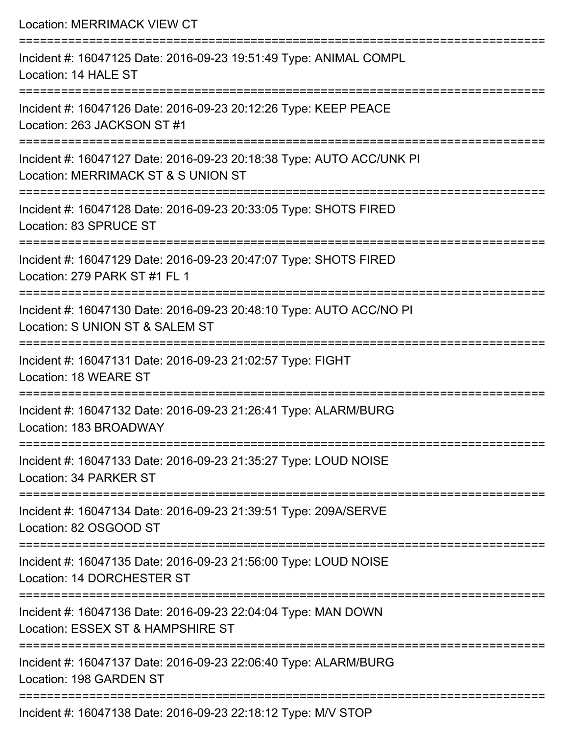| <b>Location: MERRIMACK VIEW CT</b>                                                                                      |
|-------------------------------------------------------------------------------------------------------------------------|
| Incident #: 16047125 Date: 2016-09-23 19:51:49 Type: ANIMAL COMPL<br>Location: 14 HALE ST                               |
| Incident #: 16047126 Date: 2016-09-23 20:12:26 Type: KEEP PEACE<br>Location: 263 JACKSON ST #1<br>===================== |
| Incident #: 16047127 Date: 2016-09-23 20:18:38 Type: AUTO ACC/UNK PI<br>Location: MERRIMACK ST & S UNION ST             |
| Incident #: 16047128 Date: 2016-09-23 20:33:05 Type: SHOTS FIRED<br>Location: 83 SPRUCE ST                              |
| Incident #: 16047129 Date: 2016-09-23 20:47:07 Type: SHOTS FIRED<br>Location: 279 PARK ST #1 FL 1                       |
| Incident #: 16047130 Date: 2016-09-23 20:48:10 Type: AUTO ACC/NO PI<br>Location: S UNION ST & SALEM ST                  |
| Incident #: 16047131 Date: 2016-09-23 21:02:57 Type: FIGHT<br>Location: 18 WEARE ST                                     |
| Incident #: 16047132 Date: 2016-09-23 21:26:41 Type: ALARM/BURG<br>Location: 183 BROADWAY                               |
| Incident #: 16047133 Date: 2016-09-23 21:35:27 Type: LOUD NOISE<br>Location: 34 PARKER ST                               |
| Incident #: 16047134 Date: 2016-09-23 21:39:51 Type: 209A/SERVE<br>Location: 82 OSGOOD ST                               |
| Incident #: 16047135 Date: 2016-09-23 21:56:00 Type: LOUD NOISE<br>Location: 14 DORCHESTER ST                           |
| Incident #: 16047136 Date: 2016-09-23 22:04:04 Type: MAN DOWN<br>Location: ESSEX ST & HAMPSHIRE ST                      |
| Incident #: 16047137 Date: 2016-09-23 22:06:40 Type: ALARM/BURG<br>Location: 198 GARDEN ST                              |
|                                                                                                                         |

Incident #: 16047138 Date: 2016-09-23 22:18:12 Type: M/V STOP